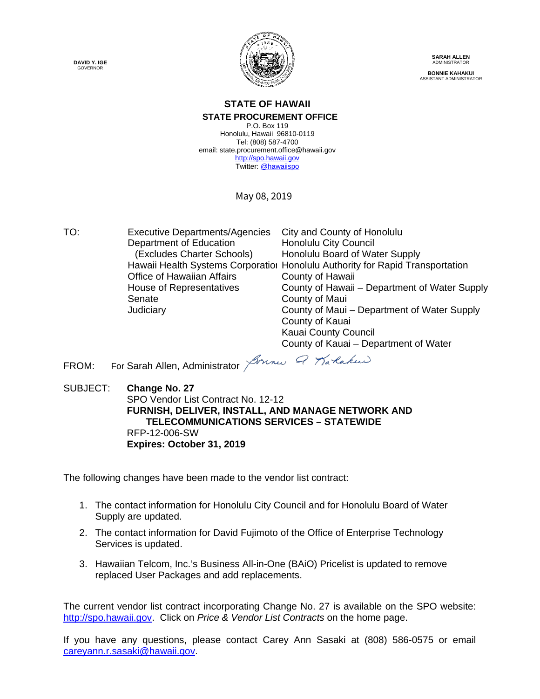**DAVID Y. IGE** GOVERNOR



**SARAH ALLEN** ADMINISTRATOR **BONNIE KAHAKUI** ASSISTANT ADMINISTRATOR

#### **STATE OF HAWAII STATE PROCUREMENT OFFICE**

P.O. Box 119 Honolulu, Hawaii 96810-0119 Tel: (808) 587-4700 email: state.procurement.office@hawaii.gov [http://spo.hawaii.gov](http://spo.hawaii.gov/) Twitter[: @hawaiispo](https://twitter.com/hawaiispo)

May 08, 2019

TO: Executive Departments/Agencies City and County of Honolulu<br>Department of Education Honolulu City Council Department of Education (Excludes Charter Schools) Honolulu Board of Water Supply Hawaii Health Systems Corporatioi Honolulu Authority for Rapid Transportation Office of Hawaiian Affairs County of Hawaii House of Representatives County of Hawaii – Department of Water Supply Senate County of Maui Judiciary County of Maui – Department of Water Supply County of Kauai Kauai County Council County of Kauai – Department of Water

FROM: For Sarah Allen, Administrator *Jounes Q Karlakus* 

SUBJECT: **Change No. 27** SPO Vendor List Contract No. 12-12 **FURNISH, DELIVER, INSTALL, AND MANAGE NETWORK AND TELECOMMUNICATIONS SERVICES – STATEWIDE**  RFP-12-006-SW **Expires: October 31, 2019**

The following changes have been made to the vendor list contract:

- 1. The contact information for Honolulu City Council and for Honolulu Board of Water Supply are updated.
- 2. The contact information for David Fujimoto of the Office of Enterprise Technology Services is updated.
- 3. Hawaiian Telcom, Inc.'s Business All-in-One (BAiO) Pricelist is updated to remove replaced User Packages and add replacements.

The current vendor list contract incorporating Change No. 27 is available on the SPO website: [http://spo.hawaii.gov.](http://spo.hawaii.gov/) Click on *Price & Vendor List Contracts* on the home page.

If you have any questions, please contact Carey Ann Sasaki at (808) 586-0575 or email [careyann.r.sasaki@hawaii.gov.](mailto:careyann.r.sasaki@hawaii.gov)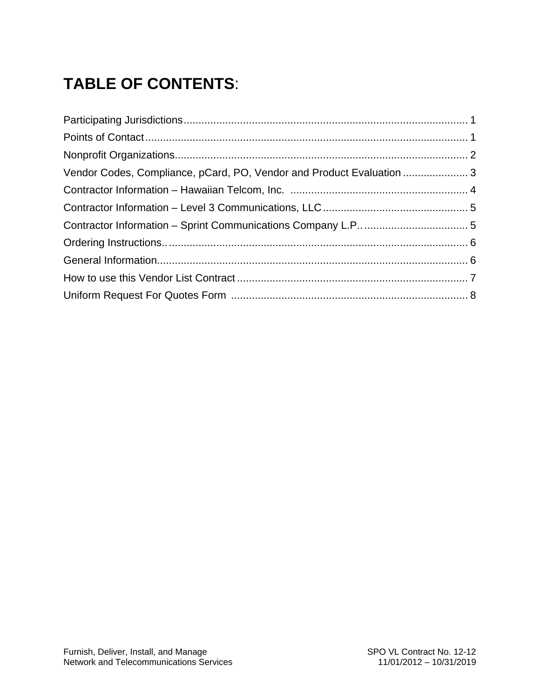# **TABLE OF CONTENTS**:

| Vendor Codes, Compliance, pCard, PO, Vendor and Product Evaluation  3 |  |
|-----------------------------------------------------------------------|--|
|                                                                       |  |
|                                                                       |  |
|                                                                       |  |
|                                                                       |  |
|                                                                       |  |
|                                                                       |  |
|                                                                       |  |
|                                                                       |  |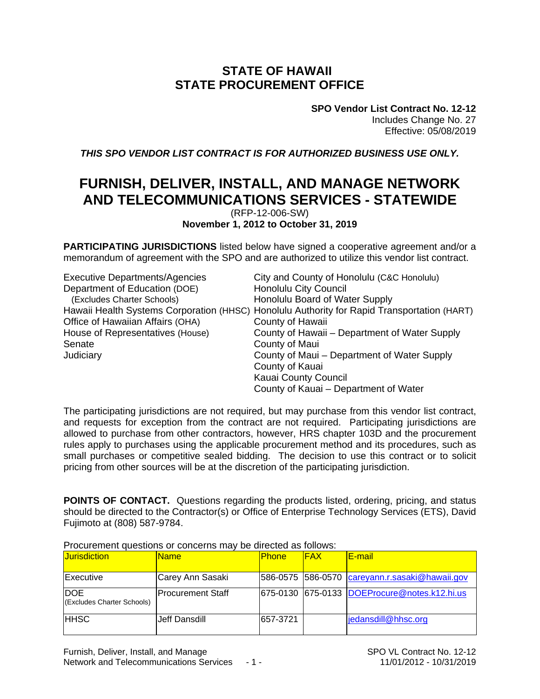#### **STATE OF HAWAII STATE PROCUREMENT OFFICE**

**SPO Vendor List Contract No. 12-12** Includes Change No. 27 Effective: 05/08/2019

*THIS SPO VENDOR LIST CONTRACT IS FOR AUTHORIZED BUSINESS USE ONLY.*

### **FURNISH, DELIVER, INSTALL, AND MANAGE NETWORK AND TELECOMMUNICATIONS SERVICES - STATEWIDE**

(RFP-12-006-SW) **November 1, 2012 to October 31, 2019**

**PARTICIPATING JURISDICTIONS** listed below have signed a cooperative agreement and/or a memorandum of agreement with the SPO and are authorized to utilize this vendor list contract.

| <b>Executive Departments/Agencies</b> | City and County of Honolulu (C&C Honolulu)                                                  |
|---------------------------------------|---------------------------------------------------------------------------------------------|
| Department of Education (DOE)         | <b>Honolulu City Council</b>                                                                |
| (Excludes Charter Schools)            | Honolulu Board of Water Supply                                                              |
|                                       | Hawaii Health Systems Corporation (HHSC) Honolulu Authority for Rapid Transportation (HART) |
| Office of Hawaiian Affairs (OHA)      | County of Hawaii                                                                            |
| House of Representatives (House)      | County of Hawaii – Department of Water Supply                                               |
| Senate                                | County of Maui                                                                              |
| Judiciary                             | County of Maui – Department of Water Supply                                                 |
|                                       | County of Kauai                                                                             |
|                                       | <b>Kauai County Council</b>                                                                 |
|                                       | County of Kauai – Department of Water                                                       |

The participating jurisdictions are not required, but may purchase from this vendor list contract, and requests for exception from the contract are not required. Participating jurisdictions are allowed to purchase from other contractors, however, HRS chapter 103D and the procurement rules apply to purchases using the applicable procurement method and its procedures, such as small purchases or competitive sealed bidding. The decision to use this contract or to solicit pricing from other sources will be at the discretion of the participating jurisdiction.

**POINTS OF CONTACT.** Questions regarding the products listed, ordering, pricing, and status should be directed to the Contractor(s) or Office of Enterprise Technology Services (ETS), David Fujimoto at (808) 587-9784.

|                                          | The carbitrary account to the content of the political concept and renome. |              |            |                                                |
|------------------------------------------|----------------------------------------------------------------------------|--------------|------------|------------------------------------------------|
| <b>Jurisdiction</b>                      | <b>Name</b>                                                                | <b>Phone</b> | <b>FAX</b> | <b>E-mail</b>                                  |
| Executive                                | Carey Ann Sasaki                                                           |              |            | 586-0575 586-0570 careyann.r.sasaki@hawaii.gov |
| <b>DOE</b><br>(Excludes Charter Schools) | IProcurement Staff                                                         |              |            | 675-0130 675-0133 DOEProcure@notes.k12.hi.us   |
| <b>IHHSC</b>                             | Jeff Dansdill                                                              | 657-3721     |            | jedansdill@hhsc.org                            |

Procurement questions or concerns may be directed as follows: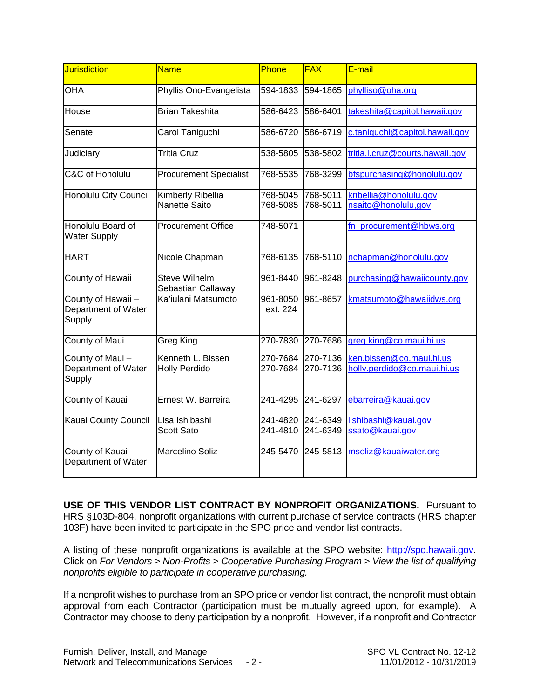| <b>Jurisdiction</b>                                 | <b>Name</b>                                | Phone                | <b>FAX</b>           | E-mail                                                  |
|-----------------------------------------------------|--------------------------------------------|----------------------|----------------------|---------------------------------------------------------|
| <b>OHA</b>                                          | Phyllis Ono-Evangelista                    | 594-1833             | 594-1865             | phylliso@oha.org                                        |
| House                                               | <b>Brian Takeshita</b>                     | 586-6423             | 586-6401             | takeshita@capitol.hawaii.gov                            |
| Senate                                              | Carol Taniguchi                            | 586-6720             | 586-6719             | c.taniquchi@capitol.hawaii.gov                          |
| Judiciary                                           | <b>Tritia Cruz</b>                         | 538-5805             | 538-5802             | tritia.l.cruz@courts.hawaii.gov                         |
| C&C of Honolulu                                     | <b>Procurement Specialist</b>              | 768-5535             | 768-3299             | bfspurchasing@honolulu.gov                              |
| Honolulu City Council                               | Kimberly Ribellia<br>Nanette Saito         | 768-5045<br>768-5085 | 768-5011<br>768-5011 | kribellia@honolulu.gov<br>nsaito@honolulu,gov           |
|                                                     |                                            |                      |                      |                                                         |
| Honolulu Board of<br><b>Water Supply</b>            | <b>Procurement Office</b>                  | 748-5071             |                      | fn procurement@hbws.org                                 |
| <b>HART</b>                                         | Nicole Chapman                             | 768-6135             | 768-5110             | nchapman@honolulu.gov                                   |
| County of Hawaii                                    | <b>Steve Wilhelm</b><br>Sebastian Callaway | 961-8440             | 961-8248             | purchasing@hawaiicounty.gov                             |
| County of Hawaii -<br>Department of Water<br>Supply | Ka'iulani Matsumoto                        | 961-8050<br>ext. 224 | 961-8657             | kmatsumoto@hawaiidws.org                                |
| County of Maui                                      | Greg King                                  | 270-7830             | 270-7686             | greg.king@co.maui.hi.us                                 |
| County of Maui-<br>Department of Water<br>Supply    | Kenneth L. Bissen<br><b>Holly Perdido</b>  | 270-7684<br>270-7684 | 270-7136<br>270-7136 | ken.bissen@co.maui.hi.us<br>holly.perdido@co.maui.hi.us |
| County of Kauai                                     | Ernest W. Barreira                         | 241-4295             | 241-6297             | ebarreira@kauai.gov                                     |
| Kauai County Council                                | Lisa Ishibashi                             | 241-4820             | 241-6349             | lishibashi@kauai.gov                                    |
|                                                     | Scott Sato                                 | 241-4810             | 241-6349             | ssato@kauai.gov                                         |
| County of Kauai-<br>Department of Water             | Marcelino Soliz                            | 245-5470             | 245-5813             | msoliz@kauaiwater.org                                   |

**USE OF THIS VENDOR LIST CONTRACT BY NONPROFIT ORGANIZATIONS.** Pursuant to HRS §103D-804, nonprofit organizations with current purchase of service contracts (HRS chapter 103F) have been invited to participate in the SPO price and vendor list contracts.

A listing of these nonprofit organizations is available at the SPO website: [http://spo.hawaii.gov.](http://spo.hawaii.gov/) Click on *For Vendors > Non-Profits > Cooperative Purchasing Program > View the list of qualifying nonprofits eligible to participate in cooperative purchasing.*

If a nonprofit wishes to purchase from an SPO price or vendor list contract, the nonprofit must obtain approval from each Contractor (participation must be mutually agreed upon, for example). A Contractor may choose to deny participation by a nonprofit. However, if a nonprofit and Contractor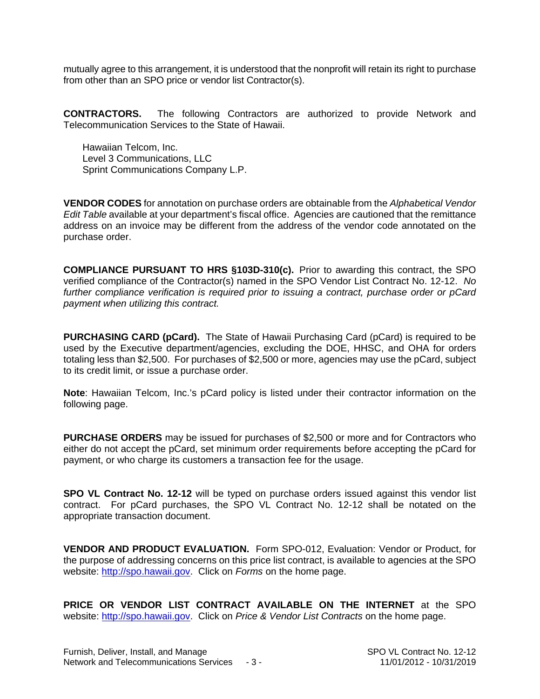mutually agree to this arrangement, it is understood that the nonprofit will retain its right to purchase from other than an SPO price or vendor list Contractor(s).

**CONTRACTORS.** The following Contractors are authorized to provide Network and Telecommunication Services to the State of Hawaii.

Hawaiian Telcom, Inc. Level 3 Communications, LLC Sprint Communications Company L.P.

**VENDOR CODES** for annotation on purchase orders are obtainable from the *Alphabetical Vendor Edit Table* available at your department's fiscal office. Agencies are cautioned that the remittance address on an invoice may be different from the address of the vendor code annotated on the purchase order.

**COMPLIANCE PURSUANT TO HRS §103D-310(c).** Prior to awarding this contract, the SPO verified compliance of the Contractor(s) named in the SPO Vendor List Contract No. 12-12. *No further compliance verification is required prior to issuing a contract, purchase order or pCard payment when utilizing this contract.*

**PURCHASING CARD (pCard).** The State of Hawaii Purchasing Card (pCard) is required to be used by the Executive department/agencies, excluding the DOE, HHSC, and OHA for orders totaling less than \$2,500. For purchases of \$2,500 or more, agencies may use the pCard, subject to its credit limit, or issue a purchase order.

**Note**: Hawaiian Telcom, Inc.'s pCard policy is listed under their contractor information on the following page.

**PURCHASE ORDERS** may be issued for purchases of \$2,500 or more and for Contractors who either do not accept the pCard, set minimum order requirements before accepting the pCard for payment, or who charge its customers a transaction fee for the usage.

**SPO VL Contract No. 12-12** will be typed on purchase orders issued against this vendor list contract. For pCard purchases, the SPO VL Contract No. 12-12 shall be notated on the appropriate transaction document.

**VENDOR AND PRODUCT EVALUATION.** Form SPO-012, Evaluation: Vendor or Product, for the purpose of addressing concerns on this price list contract, is available to agencies at the SPO website: [http://spo.hawaii.gov.](http://spo.hawaii.gov/) Click on *Forms* on the home page.

**PRICE OR VENDOR LIST CONTRACT AVAILABLE ON THE INTERNET** at the SPO website: [http://spo.hawaii.gov.](http://spo.hawaii.gov/) Click on *Price & Vendor List Contracts* on the home page.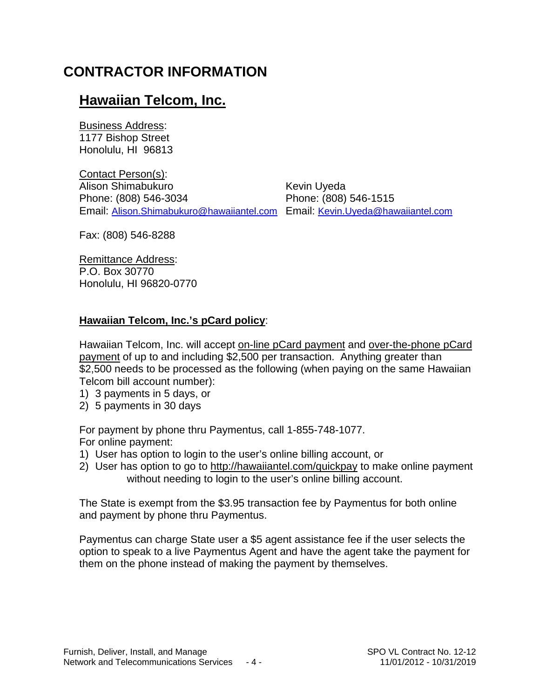# **CONTRACTOR INFORMATION**

### **Hawaiian Telcom, Inc.**

Business Address: 1177 Bishop Street Honolulu, HI 96813

Contact Person(s): Alison Shimabukuro **Kevin Uyeda** Phone: (808) 546-3034 Phone: (808) 546-1515 Email: [Alison.Shimabukuro@hawaiiantel.com](mailto:Alison.Shimabukuro@hawaiiantel.com) Email: [Kevin.Uyeda@hawaiiantel.com](mailto:Kevin.Uyeda@hawaiiantel.com)

Fax: (808) 546-8288

Remittance Address: P.O. Box 30770 Honolulu, HI 96820-0770

#### **Hawaiian Telcom, Inc.'s pCard policy**:

Hawaiian Telcom, Inc. will accept on-line pCard payment and over-the-phone pCard payment of up to and including \$2,500 per transaction. Anything greater than \$2,500 needs to be processed as the following (when paying on the same Hawaiian Telcom bill account number):

- 1) 3 payments in 5 days, or
- 2) 5 payments in 30 days

For payment by phone thru Paymentus, call 1-855-748-1077. For online payment:

- 1) User has option to login to the user's online billing account, or
- 2) User has option to go to<http://hawaiiantel.com/quickpay> to make online payment without needing to login to the user's online billing account.

The State is exempt from the \$3.95 transaction fee by Paymentus for both online and payment by phone thru Paymentus.

Paymentus can charge State user a \$5 agent assistance fee if the user selects the option to speak to a live Paymentus Agent and have the agent take the payment for them on the phone instead of making the payment by themselves.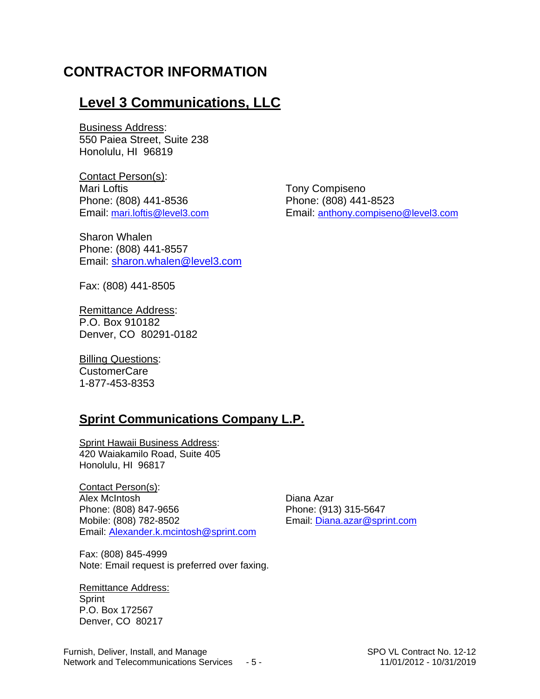### **CONTRACTOR INFORMATION**

### **Level 3 Communications, LLC**

Business Address: 550 Paiea Street, Suite 238 Honolulu, HI 96819

Contact Person(s): Mari Loftis **Mari Loftis Mari Loftis Mari Loftis Mari Loftis Mari Loftis Mari Loftis Mari Loftis Mari Loftis Mari Loftis Mari Loftis Mari Loftis Mari Loftis** Phone: (808) 441-8536 Phone: (808) 441-8523

Sharon Whalen Phone: (808) 441-8557 Email: [sharon.whalen@level3.com](mailto:sharon.whalen@level3.com)

Fax: (808) 441-8505

Remittance Address: P.O. Box 910182 Denver, CO 80291-0182

**Billing Questions:** CustomerCare 1-877-453-8353

#### **Sprint Communications Company L.P.**

Sprint Hawaii Business Address: 420 Waiakamilo Road, Suite 405 Honolulu, HI 96817

Contact Person(s): Alex McIntosh **Diana Azar** Phone: (808) 847-9656 Phone: (913) 315-5647 Mobile: (808) 782-8502 Email: [Diana.azar@sprint.com](mailto:Diana.azar@sprint.com) Email: [Alexander.k.mcintosh@sprint.com](mailto:Alexander.k.mcintosh@sprint.com)

Fax: (808) 845-4999 Note: Email request is preferred over faxing.

Remittance Address: **Sprint** P.O. Box 172567 Denver, CO 80217

Email: [mari.loftis@level3.com](mailto:mari.loftis@level3.com) Email: [anthony.compiseno@level3.com](mailto:anthony.compiseno@level3.com)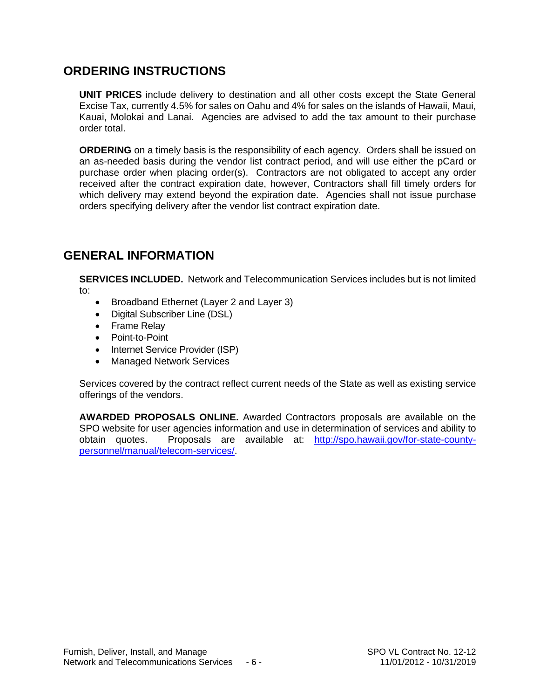#### **ORDERING INSTRUCTIONS**

**UNIT PRICES** include delivery to destination and all other costs except the State General Excise Tax, currently 4.5% for sales on Oahu and 4% for sales on the islands of Hawaii, Maui, Kauai, Molokai and Lanai. Agencies are advised to add the tax amount to their purchase order total.

**ORDERING** on a timely basis is the responsibility of each agency. Orders shall be issued on an as-needed basis during the vendor list contract period, and will use either the pCard or purchase order when placing order(s). Contractors are not obligated to accept any order received after the contract expiration date, however, Contractors shall fill timely orders for which delivery may extend beyond the expiration date. Agencies shall not issue purchase orders specifying delivery after the vendor list contract expiration date.

#### **GENERAL INFORMATION**

**SERVICES INCLUDED.** Network and Telecommunication Services includes but is not limited to:

- Broadband Ethernet (Layer 2 and Layer 3)
- Digital Subscriber Line (DSL)
- Frame Relay
- Point-to-Point
- Internet Service Provider (ISP)
- Managed Network Services

Services covered by the contract reflect current needs of the State as well as existing service offerings of the vendors.

**AWARDED PROPOSALS ONLINE.** Awarded Contractors proposals are available on the SPO website for user agencies information and use in determination of services and ability to obtain quotes. Proposals are available at: [http://spo.hawaii.gov/for-state-county](http://spo.hawaii.gov/for-state-county-personnel/manual/telecom-services/)[personnel/manual/telecom-services/.](http://spo.hawaii.gov/for-state-county-personnel/manual/telecom-services/)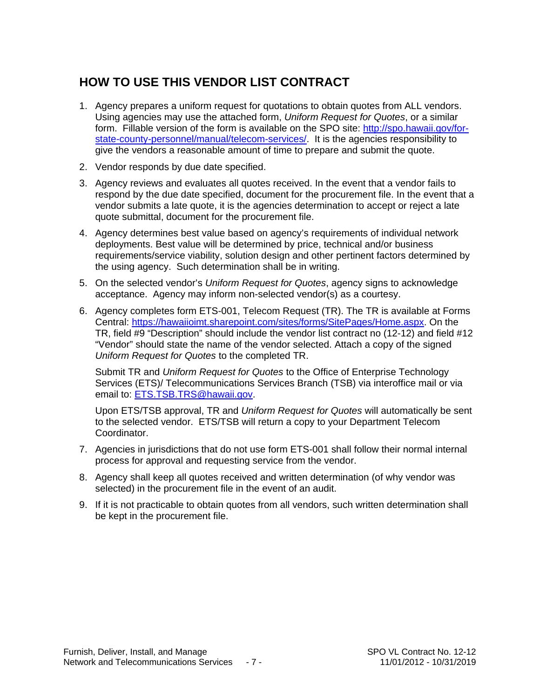### **HOW TO USE THIS VENDOR LIST CONTRACT**

- 1. Agency prepares a uniform request for quotations to obtain quotes from ALL vendors. Using agencies may use the attached form, *Uniform Request for Quotes*, or a similar form. Fillable version of the form is available on the SPO site: [http://spo.hawaii.gov/for](http://spo.hawaii.gov/for-state-county-personnel/manual/telecom-services/)[state-county-personnel/manual/telecom-services/.](http://spo.hawaii.gov/for-state-county-personnel/manual/telecom-services/) It is the agencies responsibility to give the vendors a reasonable amount of time to prepare and submit the quote.
- 2. Vendor responds by due date specified.
- 3. Agency reviews and evaluates all quotes received. In the event that a vendor fails to respond by the due date specified, document for the procurement file. In the event that a vendor submits a late quote, it is the agencies determination to accept or reject a late quote submittal, document for the procurement file.
- 4. Agency determines best value based on agency's requirements of individual network deployments. Best value will be determined by price, technical and/or business requirements/service viability, solution design and other pertinent factors determined by the using agency. Such determination shall be in writing.
- 5. On the selected vendor's *Uniform Request for Quotes*, agency signs to acknowledge acceptance. Agency may inform non-selected vendor(s) as a courtesy.
- 6. Agency completes form ETS-001, Telecom Request (TR). The TR is available at Forms Central: [https://hawaiioimt.sharepoint.com/sites/forms/SitePages/Home.aspx.](https://hawaiioimt.sharepoint.com/sites/forms/SitePages/Home.aspx) On the TR, field #9 "Description" should include the vendor list contract no (12-12) and field #12 "Vendor" should state the name of the vendor selected. Attach a copy of the signed *Uniform Request for Quotes* to the completed TR.

Submit TR and *Uniform Request for Quotes* to the Office of Enterprise Technology Services (ETS)/ Telecommunications Services Branch (TSB) via interoffice mail or via email to: [ETS.TSB.TRS@hawaii.gov.](mailto:ETS.TSB.TRS@hawaii.gov)

Upon ETS/TSB approval, TR and *Uniform Request for Quotes* will automatically be sent to the selected vendor. ETS/TSB will return a copy to your Department Telecom Coordinator.

- 7. Agencies in jurisdictions that do not use form ETS-001 shall follow their normal internal process for approval and requesting service from the vendor.
- 8. Agency shall keep all quotes received and written determination (of why vendor was selected) in the procurement file in the event of an audit.
- 9. If it is not practicable to obtain quotes from all vendors, such written determination shall be kept in the procurement file.